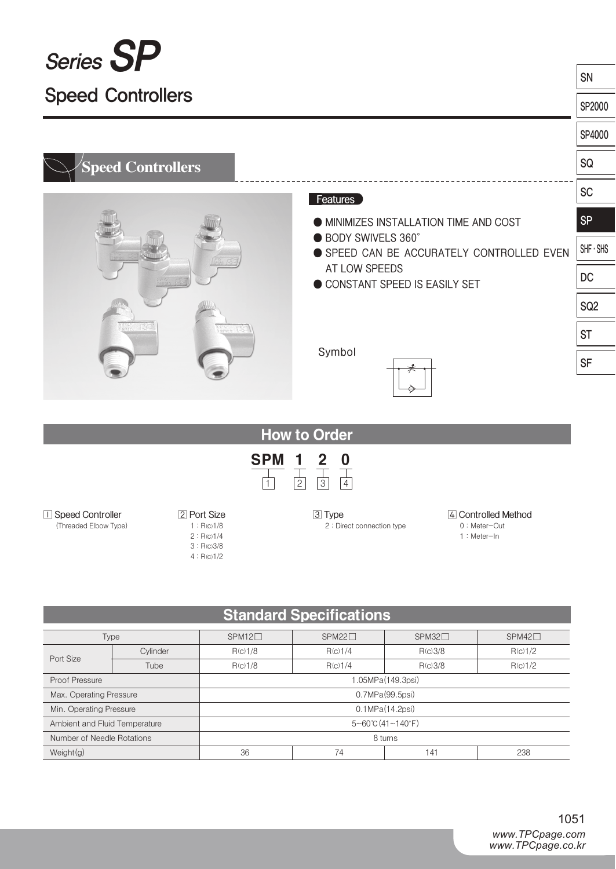| Series SP                |                                                                |                 |  |  |  |
|--------------------------|----------------------------------------------------------------|-----------------|--|--|--|
|                          |                                                                | SN              |  |  |  |
| <b>Speed Controllers</b> |                                                                |                 |  |  |  |
|                          |                                                                | SP4000          |  |  |  |
| <b>Speed Controllers</b> |                                                                | SQ              |  |  |  |
|                          | Features                                                       | <b>SC</b>       |  |  |  |
|                          | <b>MINIMIZES INSTALLATION TIME AND COST</b>                    | <b>SP</b>       |  |  |  |
|                          | ● BODY SWIVELS 360°<br>SPEED CAN BE ACCURATELY CONTROLLED EVEN | $SHF \cdot SHS$ |  |  |  |
|                          | AT LOW SPEEDS<br>CONSTANT SPEED IS EASILY SET                  | <b>DC</b>       |  |  |  |
|                          |                                                                | SQ <sub>2</sub> |  |  |  |
|                          |                                                                |                 |  |  |  |
|                          | Symbol                                                         | <b>SF</b>       |  |  |  |
|                          |                                                                |                 |  |  |  |

## How to Order



#### **⃞ Speed Controller**

(Threaded Elbow Type)

**⃞ Port Size** 1 : R(c)1/8 2 : R(c)1/4

3 : R(c)3/8 4 : R(c)1/2 **⃞ Type** 2 : Direct connection type

#### **⃞ Controlled Method** 0 : Meter-Out

1 : Meter-In

## Standard Specifications

| Type                          |                   | $SPM12 \square$          | $SPM22\Box$ | $SPM32\Box$ | $SPM42\Box$ |  |  |  |
|-------------------------------|-------------------|--------------------------|-------------|-------------|-------------|--|--|--|
| Port Size                     | Cylinder          | R(c)1/8                  | R(c)1/4     | R(c)3/8     | R(c)1/2     |  |  |  |
|                               | Tube              | R(c)1/8                  | R(c)1/4     | R(c)3/8     | R(c)1/2     |  |  |  |
| Proof Pressure                | 1.05MPa(149.3psi) |                          |             |             |             |  |  |  |
| Max. Operating Pressure       |                   | 0.7MPa(99.5psi)          |             |             |             |  |  |  |
| Min. Operating Pressure       |                   | 0.1MPa(14.2psi)          |             |             |             |  |  |  |
| Ambient and Fluid Temperature |                   | $5 - 60$ °C (41 ~ 140°F) |             |             |             |  |  |  |
| Number of Needle Rotations    |                   | 8 turns                  |             |             |             |  |  |  |
| Weight(g)                     |                   | 36                       | 74          | 41          | 238         |  |  |  |